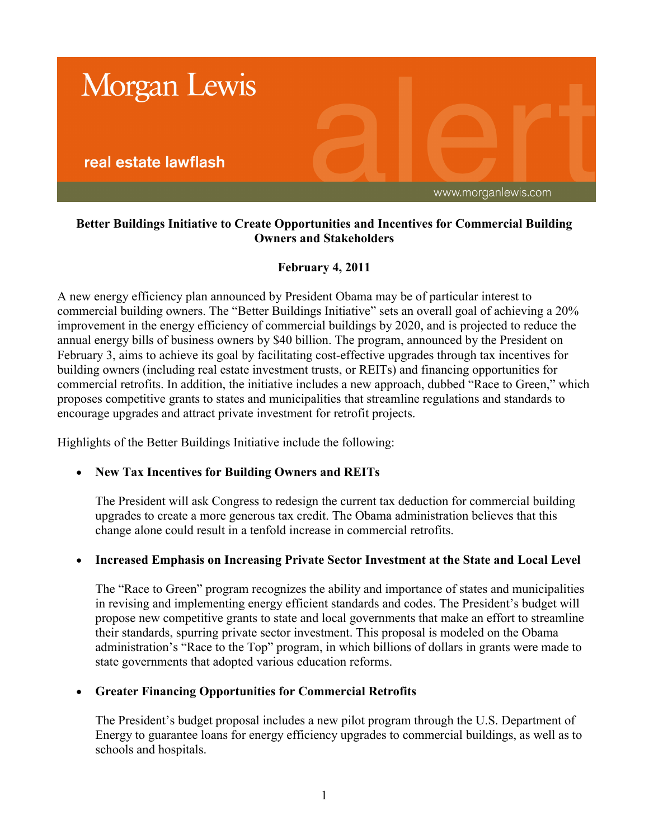

## **Better Buildings Initiative to Create Opportunities and Incentives for Commercial Building Owners and Stakeholders**

# **February 4, 2011**

A new energy efficiency plan announced by President Obama may be of particular interest to commercial building owners. The "Better Buildings Initiative" sets an overall goal of achieving a 20% improvement in the energy efficiency of commercial buildings by 2020, and is projected to reduce the annual energy bills of business owners by \$40 billion. The program, announced by the President on February 3, aims to achieve its goal by facilitating cost-effective upgrades through tax incentives for building owners (including real estate investment trusts, or REITs) and financing opportunities for commercial retrofits. In addition, the initiative includes a new approach, dubbed "Race to Green," which proposes competitive grants to states and municipalities that streamline regulations and standards to encourage upgrades and attract private investment for retrofit projects.

Highlights of the Better Buildings Initiative include the following:

## **New Tax Incentives for Building Owners and REITs**

The President will ask Congress to redesign the current tax deduction for commercial building upgrades to create a more generous tax credit. The Obama administration believes that this change alone could result in a tenfold increase in commercial retrofits.

## **Increased Emphasis on Increasing Private Sector Investment at the State and Local Level**

The "Race to Green" program recognizes the ability and importance of states and municipalities in revising and implementing energy efficient standards and codes. The President's budget will propose new competitive grants to state and local governments that make an effort to streamline their standards, spurring private sector investment. This proposal is modeled on the Obama administration's "Race to the Top" program, in which billions of dollars in grants were made to state governments that adopted various education reforms.

## **Greater Financing Opportunities for Commercial Retrofits**

The President's budget proposal includes a new pilot program through the U.S. Department of Energy to guarantee loans for energy efficiency upgrades to commercial buildings, as well as to schools and hospitals.